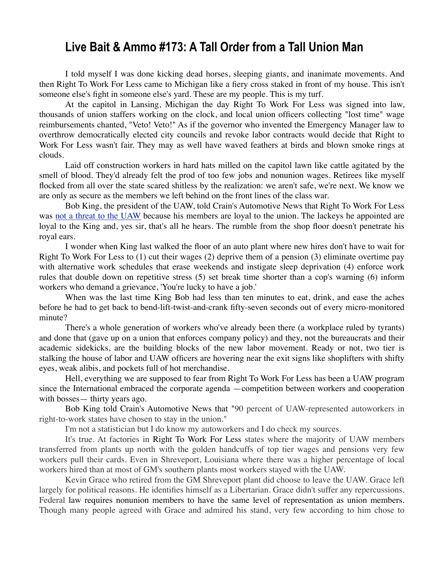## **Live Bait & Ammo #173: A Tall Order from a Tall Union Man**

I told myself I was done kicking dead horses, sleeping giants, and inanimate movements. And then Right To Work For Less came to Michigan like a fiery cross staked in front of my house. This isn't someone else's fight in someone else's yard. These are my people. This is my turf.

At the capitol in Lansing, Michigan the day Right To Work For Less was signed into law, thousands of union staffers working on the clock, and local union officers collecting "lost time" wage reimbursements chanted, "Veto! Veto!" As if the governor who invented the Emergency Manager law to overthrow democratically elected city councils and revoke labor contracts would decide that Right to Work For Less wasn't fair. They may as well have waved feathers at birds and blown smoke rings at clouds.

Laid off construction workers in hard hats milled on the capitol lawn like cattle agitated by the smell of blood. They'd already felt the prod of too few jobs and nonunion wages. Retirees like myself flocked from all over the state scared shitless by the realization: we aren't safe, we're next. We know we are only as secure as the members we left behind on the front lines of the class war.

Bob King, the president of the UAW, told Crain's Automotive News that Right To Work For Less was [not a threat to the UAW](http://www.crainsdetroit.com/article/20121216/NEWS/312169962/uaws-king-expects-members-to-remain-loyal) because his members are loyal to the union. The lackeys he appointed are loyal to the King and, yes sir, that's all he hears. The rumble from the shop floor doesn't penetrate his royal ears.

I wonder when King last walked the floor of an auto plant where new hires don't have to wait for Right To Work For Less to (1) cut their wages (2) deprive them of a pension (3) eliminate overtime pay with alternative work schedules that erase weekends and instigate sleep deprivation (4) enforce work rules that double down on repetitive stress (5) set break time shorter than a cop's warning (6) inform workers who demand a grievance, 'You're lucky to have a job.'

When was the last time King Bob had less than ten minutes to eat, drink, and ease the aches before he had to get back to bend-lift-twist-and-crank fifty-seven seconds out of every micro-monitored minute?

There's a whole generation of workers who've already been there (a workplace ruled by tyrants) and done that (gave up on a union that enforces company policy) and they, not the bureaucrats and their academic sidekicks, are the building blocks of the new labor movement. Ready or not, two tier is stalking the house of labor and UAW officers are hovering near the exit signs like shoplifters with shifty eyes, weak alibis, and pockets full of hot merchandise.

Hell, everything we are supposed to fear from Right To Work For Less has been a UAW program since the International embraced the corporate agenda —competition between workers and cooperation with bosses— thirty years ago.

Bob King told Crain's Automotive News that "90 percent of UAW-represented autoworkers in right-to-work states have chosen to stay in the union."

I'm not a statistician but I do know my autoworkers and I do check my sources.

It's true. At factories in Right To Work For Less states where the majority of UAW members transferred from plants up north with the golden handcuffs of top tier wages and pensions very few workers pull their cards. Even in Shreveport, Louisiana where there was a higher percentage of local workers hired than at most of GM's southern plants most workers stayed with the UAW.

Kevin Grace who retired from the GM Shreveport plant did choose to leave the UAW. Grace left largely for political reasons. He identifies himself as a Libertarian. Grace didn't suffer any repercussions. Federal law requires nonunion members to have the same level of representation as union members. Though many people agreed with Grace and admired his stand, very few according to him chose to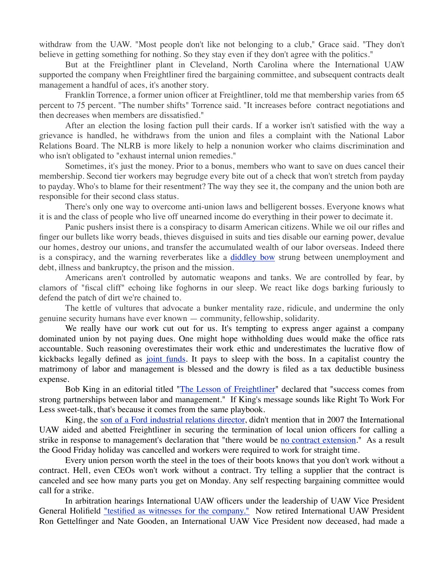withdraw from the UAW. "Most people don't like not belonging to a club," Grace said. "They don't believe in getting something for nothing. So they stay even if they don't agree with the politics."

But at the Freightliner plant in Cleveland, North Carolina where the International UAW supported the company when Freightliner fired the bargaining committee, and subsequent contracts dealt management a handful of aces, it's another story.

Franklin Torrence, a former union officer at Freightliner, told me that membership varies from 65 percent to 75 percent. "The number shifts" Torrence said. "It increases before contract negotiations and then decreases when members are dissatisfied."

After an election the losing faction pull their cards. If a worker isn't satisfied with the way a grievance is handled, he withdraws from the union and files a complaint with the National Labor Relations Board. The NLRB is more likely to help a nonunion worker who claims discrimination and who isn't obligated to "exhaust internal union remedies."

Sometimes, it's just the money. Prior to a bonus, members who want to save on dues cancel their membership. Second tier workers may begrudge every bite out of a check that won't stretch from payday to payday. Who's to blame for their resentment? The way they see it, the company and the union both are responsible for their second class status.

There's only one way to overcome anti-union laws and belligerent bosses. Everyone knows what it is and the class of people who live off unearned income do everything in their power to decimate it.

Panic pushers insist there is a conspiracy to disarm American citizens. While we oil our rifles and finger our bullets like worry beads, thieves disguised in suits and ties disable our earning power, devalue our homes, destroy our unions, and transfer the accumulated wealth of our labor overseas. Indeed there is a conspiracy, and the warning reverberates like a [diddley bow](http://www.cr.nps.gov/delta/blues/people/elmore_james.htm) strung between unemployment and debt, illness and bankruptcy, the prison and the mission.

Americans aren't controlled by automatic weapons and tanks. We are controlled by fear, by clamors of "fiscal cliff" echoing like foghorns in our sleep. We react like dogs barking furiously to defend the patch of dirt we're chained to.

The kettle of vultures that advocate a bunker mentality raze, ridicule, and undermine the only genuine security humans have ever known — community, fellowship, solidarity.

We really have our work cut out for us. It's tempting to express anger against a company dominated union by not paying dues. One might hope withholding dues would make the office rats accountable. Such reasoning overestimates their work ethic and underestimates the lucrative flow of kickbacks legally defined as [joint funds.](http://www.uawndm.org/joint.htm) It pays to sleep with the boss. In a capitalist country the matrimony of labor and management is blessed and the dowry is filed as a tax deductible business expense.

Bob King in an editorial titled ["The Lesson of Freightliner"](http://digital.turn-page.com/i/57740) declared that "success comes from strong partnerships between labor and management." If King's message sounds like Right To Work For Less sweet-talk, that's because it comes from the same playbook.

King, the [son of a Ford industrial relations director](http://www.bloomberg.com/news/2010-06-15/king-inherits-uaw-pushing-for-payback-after-cuts-of-up-to-30-000-a-worker.html), didn't mention that in 2007 the International UAW aided and abetted Freightliner in securing the termination of local union officers for calling a strike in response to management's declaration that "there would be [no contract extension.](http://socialistworker.org/2008/02/22/union-busting-freightliner)" As a result the Good Friday holiday was cancelled and workers were required to work for straight time.

Every union person worth the steel in the toes of their boots knows that you don't work without a contract. Hell, even CEOs won't work without a contract. Try telling a supplier that the contract is canceled and see how many parts you get on Monday. Any self respecting bargaining committee would call for a strike.

In arbitration hearings International UAW officers under the leadership of UAW Vice President General Holifield ["testified as witnesses for the company."](http://socialistworker.org/2008/11/07/split-ruling-for-freightliner-five) Now retired International UAW President Ron Gettelfinger and Nate Gooden, an International UAW Vice President now deceased, had made a